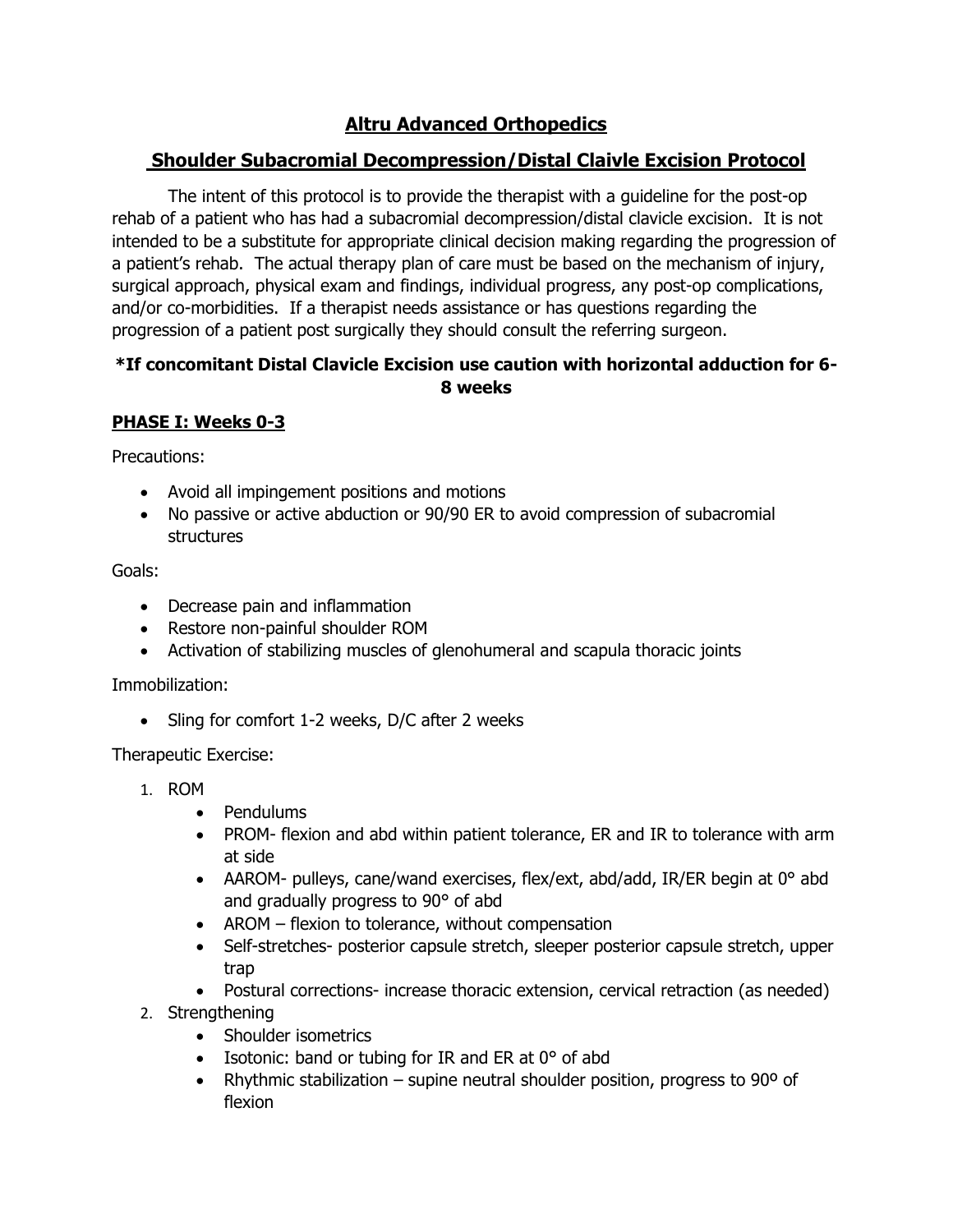# **Altru Advanced Orthopedics**

## **Shoulder Subacromial Decompression/Distal Claivle Excision Protocol**

The intent of this protocol is to provide the therapist with a guideline for the post-op rehab of a patient who has had a subacromial decompression/distal clavicle excision. It is not intended to be a substitute for appropriate clinical decision making regarding the progression of a patient's rehab. The actual therapy plan of care must be based on the mechanism of injury, surgical approach, physical exam and findings, individual progress, any post-op complications, and/or co-morbidities. If a therapist needs assistance or has questions regarding the progression of a patient post surgically they should consult the referring surgeon.

### **\*If concomitant Distal Clavicle Excision use caution with horizontal adduction for 6- 8 weeks**

## **PHASE I: Weeks 0-3**

Precautions:

- Avoid all impingement positions and motions
- No passive or active abduction or 90/90 ER to avoid compression of subacromial structures

Goals:

- Decrease pain and inflammation
- Restore non-painful shoulder ROM
- Activation of stabilizing muscles of glenohumeral and scapula thoracic joints

Immobilization:

• Sling for comfort 1-2 weeks, D/C after 2 weeks

Therapeutic Exercise:

- 1. ROM
	- Pendulums
	- PROM- flexion and abd within patient tolerance, ER and IR to tolerance with arm at side
	- AAROM- pulleys, cane/wand exercises, flex/ext, abd/add, IR/ER begin at 0° abd and gradually progress to 90° of abd
	- AROM flexion to tolerance, without compensation
	- Self-stretches- posterior capsule stretch, sleeper posterior capsule stretch, upper trap
	- Postural corrections- increase thoracic extension, cervical retraction (as needed)
- 2. Strengthening
	- Shoulder isometrics
	- Isotonic: band or tubing for IR and ER at 0° of abd
	- Rhythmic stabilization supine neutral shoulder position, progress to 90º of flexion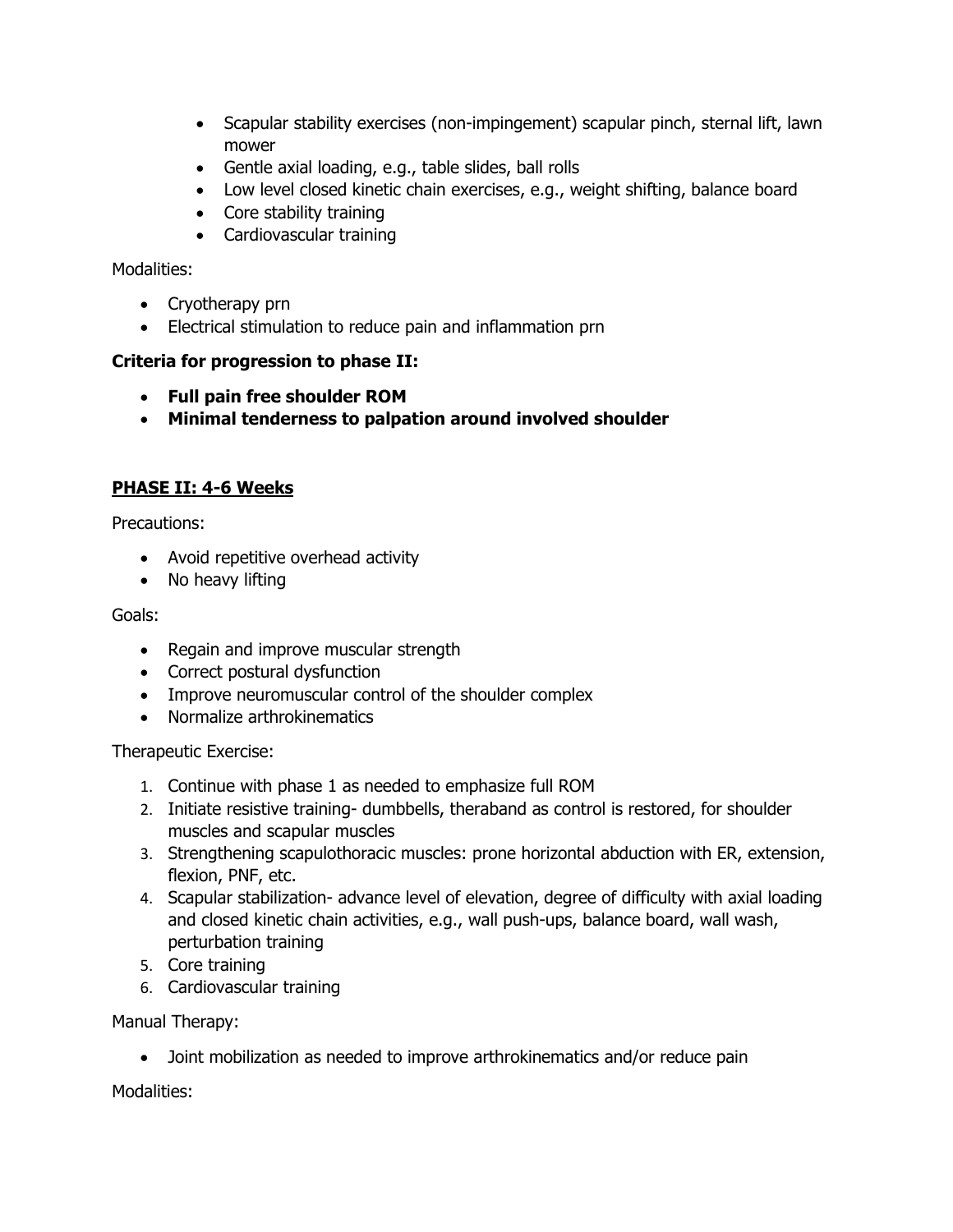- Scapular stability exercises (non-impingement) scapular pinch, sternal lift, lawn mower
- Gentle axial loading, e.g., table slides, ball rolls
- Low level closed kinetic chain exercises, e.g., weight shifting, balance board
- Core stability training
- Cardiovascular training

#### Modalities:

- Cryotherapy prn
- Electrical stimulation to reduce pain and inflammation prn

#### **Criteria for progression to phase II:**

- **Full pain free shoulder ROM**
- **Minimal tenderness to palpation around involved shoulder**

## **PHASE II: 4-6 Weeks**

Precautions:

- Avoid repetitive overhead activity
- No heavy lifting

#### Goals:

- Regain and improve muscular strength
- Correct postural dysfunction
- Improve neuromuscular control of the shoulder complex
- Normalize arthrokinematics

Therapeutic Exercise:

- 1. Continue with phase 1 as needed to emphasize full ROM
- 2. Initiate resistive training- dumbbells, theraband as control is restored, for shoulder muscles and scapular muscles
- 3. Strengthening scapulothoracic muscles: prone horizontal abduction with ER, extension, flexion, PNF, etc.
- 4. Scapular stabilization- advance level of elevation, degree of difficulty with axial loading and closed kinetic chain activities, e.g., wall push-ups, balance board, wall wash, perturbation training
- 5. Core training
- 6. Cardiovascular training

Manual Therapy:

• Joint mobilization as needed to improve arthrokinematics and/or reduce pain

Modalities: